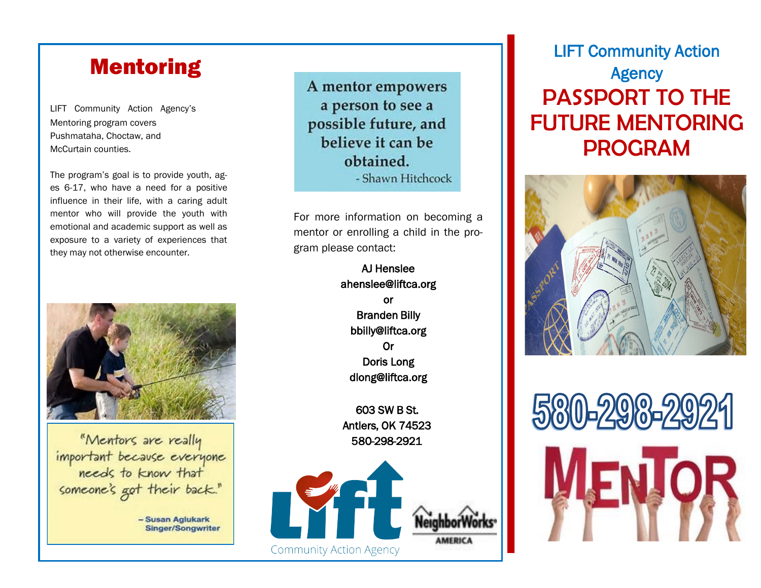# Mentoring

LIFT Community Action Agency's Mentoring program covers Pushmataha, Choctaw, and McCurtain counties.

The program's goal is to provide youth, ages 6-17, who have a need for a positive influence in their life, with a caring adult mentor who will provide the youth with emotional and academic support as well as exposure to a variety of experiences that they may not otherwise encounter.



"Mentors are really important because everyone<br>needs to know that someone's got their back."

> - Susan Aglukark **Singer/Songwriter**

A mentor empowers a person to see a possible future, and believe it can be obtained. - Shawn Hitchcock

For more information on becoming a mentor or enrolling a child in the program please contact:

> AJ Henslee ahenslee@liftca.org or Branden Billy bbilly@liftca.org Or Doris Long dlong@liftca.org

603 SW B St. Antlers, OK 74523 580-298-2921



## LIFT Community Action **Agency** PASSPORT TO THE FUTURE MENTORING PROGRAM